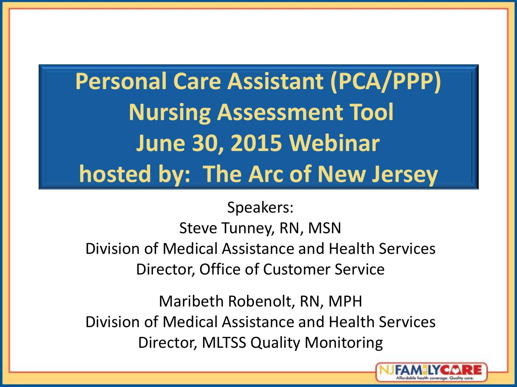### **Personal Care Assistant (PCA/PPP) Nursing Assessment Tool June 30, 2015 Webinar hosted by: The Arc of New Jersey**

Speakers: Steve Tunney, RN, MSN Division of Medical Assistance and Health Services Director, Office of Customer Service

Maribeth Robenolt, RN, MPH Division of Medical Assistance and Health Services Director, MLTSS Quality Monitoring

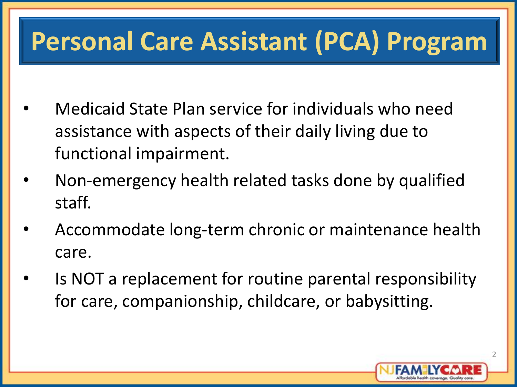#### **Personal Care Assistant (PCA) Program**

- Medicaid State Plan service for individuals who need assistance with aspects of their daily living due to functional impairment.
- Non-emergency health related tasks done by qualified staff.
- Accommodate long-term chronic or maintenance health care.
- Is NOT a replacement for routine parental responsibility for care, companionship, childcare, or babysitting.

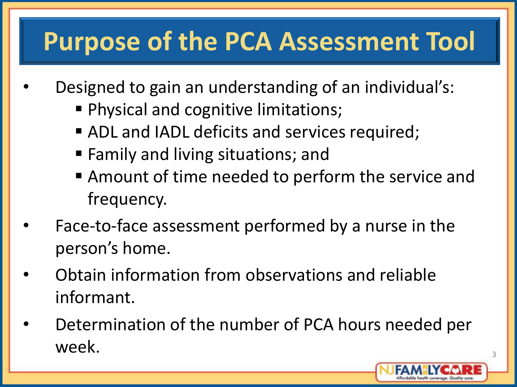#### **Purpose of the PCA Assessment Tool**

- Designed to gain an understanding of an individual's:
	- **Physical and cognitive limitations;**
	- ADL and IADL deficits and services required;
	- Family and living situations; and
	- Amount of time needed to perform the service and frequency.
- Face-to-face assessment performed by a nurse in the person's home.
- Obtain information from observations and reliable informant.
- Determination of the number of PCA hours needed per week.

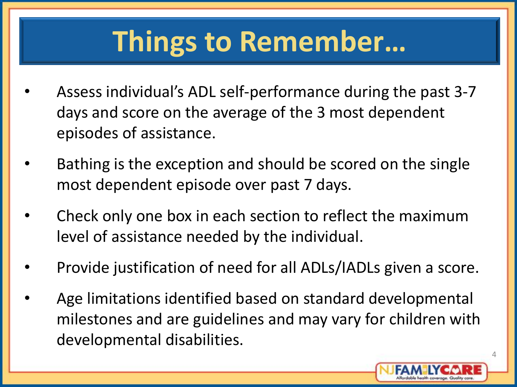# **Things to Remember…**

- Assess individual's ADL self-performance during the past 3-7 days and score on the average of the 3 most dependent episodes of assistance.
- Bathing is the exception and should be scored on the single most dependent episode over past 7 days.
- Check only one box in each section to reflect the maximum level of assistance needed by the individual.
- Provide justification of need for all ADLs/IADLs given a score.
- Age limitations identified based on standard developmental milestones and are guidelines and may vary for children with developmental disabilities.

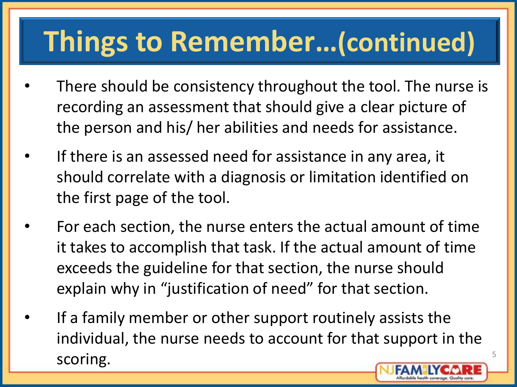# **Things to Remember…(continued)**

- There should be consistency throughout the tool. The nurse is recording an assessment that should give a clear picture of the person and his/ her abilities and needs for assistance.
- If there is an assessed need for assistance in any area, it should correlate with a diagnosis or limitation identified on the first page of the tool.
- For each section, the nurse enters the actual amount of time it takes to accomplish that task. If the actual amount of time exceeds the guideline for that section, the nurse should explain why in "justification of need" for that section.
- If a family member or other support routinely assists the individual, the nurse needs to account for that support in the scoring.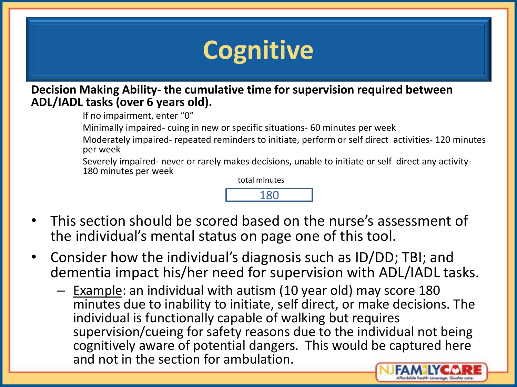### **Cognitive**

**Decision Making Ability- the cumulative time for supervision required between ADL/IADL tasks (over 6 years old).**

If no impairment, enter "0"

Minimally impaired- cuing in new or specific situations- 60 minutes per week

Moderately impaired- repeated reminders to initiate, perform or self direct activities- 120 minutes per week

Severely impaired- never or rarely makes decisions, unable to initiate or self direct any activity-180 minutes per week

total minutes

- This section should be scored based on the nurse's assessment of the individual's mental status on page one of this tool.
- Consider how the individual's diagnosis such as ID/DD; TBI; and dementia impact his/her need for supervision with ADL/IADL tasks.
	- Example: an individual with autism (10 year old) may score 180 minutes due to inability to initiate, self direct, or make decisions. The individual is functionally capable of walking but requires supervision/cueing for safety reasons due to the individual not being cognitively aware of potential dangers. This would be captured here and not in the section for ambulation.

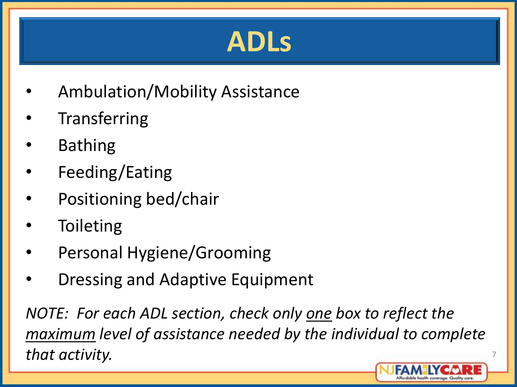# **ADLs**

- Ambulation/Mobility Assistance
- **Transferring**
- **Bathing**
- Feeding/Eating
- Positioning bed/chair
- **Toileting**
- Personal Hygiene/Grooming
- Dressing and Adaptive Equipment

*NOTE: For each ADL section, check only one box to reflect the maximum level of assistance needed by the individual to complete that activity.*

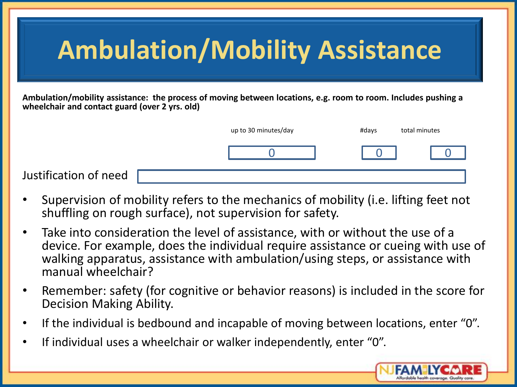| <b>Ambulation/Mobility Assistance</b>                                                                                                                            |                      |       |               |
|------------------------------------------------------------------------------------------------------------------------------------------------------------------|----------------------|-------|---------------|
| Ambulation/mobility assistance: the process of moving between locations, e.g. room to room. Includes pushing a<br>wheelchair and contact guard (over 2 yrs. old) |                      |       |               |
|                                                                                                                                                                  | up to 30 minutes/day | #days | total minutes |
|                                                                                                                                                                  |                      |       |               |
| Justification of need                                                                                                                                            |                      |       |               |

- Supervision of mobility refers to the mechanics of mobility (i.e. lifting feet not shuffling on rough surface), not supervision for safety.
- Take into consideration the level of assistance, with or without the use of a device. For example, does the individual require assistance or cueing with use of walking apparatus, assistance with ambulation/using steps, or assistance with manual wheelchair?
- Remember: safety (for cognitive or behavior reasons) is included in the score for Decision Making Ability.
- If the individual is bedbound and incapable of moving between locations, enter "0".
- If individual uses a wheelchair or walker independently, enter "0".

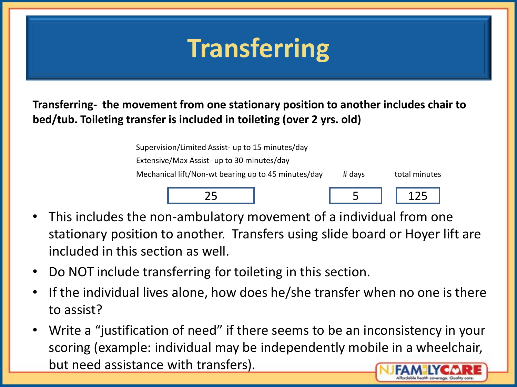### **Transferring**

**Transferring- the movement from one stationary position to another includes chair to bed/tub. Toileting transfer is included in toileting (over 2 yrs. old)**

| Supervision/Limited Assist- up to 15 minutes/day    |        |               |
|-----------------------------------------------------|--------|---------------|
| Extensive/Max Assist- up to 30 minutes/day          |        |               |
| Mechanical lift/Non-wt bearing up to 45 minutes/day | # days | total minutes |
|                                                     |        | 125           |

- This includes the non-ambulatory movement of a individual from one stationary position to another. Transfers using slide board or Hoyer lift are included in this section as well.
- Do NOT include transferring for toileting in this section.
- If the individual lives alone, how does he/she transfer when no one is there to assist?
- Write a "justification of need" if there seems to be an inconsistency in your scoring (example: individual may be independently mobile in a wheelchair, but need assistance with transfers).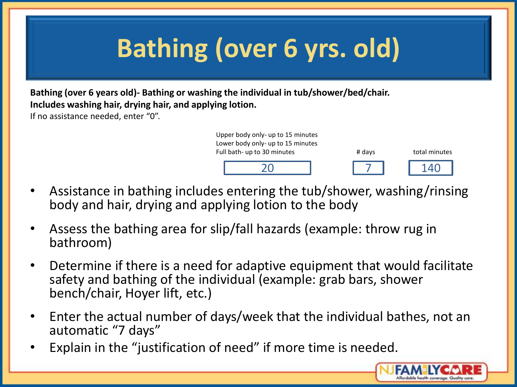## **Bathing (over 6 yrs. old)**

**Bathing (over 6 years old)- Bathing or washing the individual in tub/shower/bed/chair. Includes washing hair, drying hair, and applying lotion.**

If no assistance needed, enter "0".



- Assistance in bathing includes entering the tub/shower, washing/rinsing body and hair, drying and applying lotion to the body
- Assess the bathing area for slip/fall hazards (example: throw rug in bathroom)
- Determine if there is a need for adaptive equipment that would facilitate safety and bathing of the individual (example: grab bars, shower bench/chair, Hoyer lift, etc.)
- Enter the actual number of days/week that the individual bathes, not an automatic "7 days"
- Explain in the "justification of need" if more time is needed.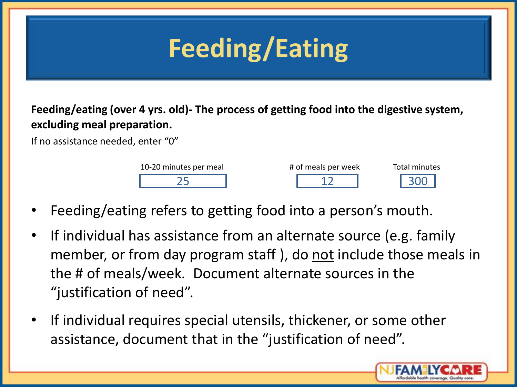# **Feeding/Eating**

**Feeding/eating (over 4 yrs. old)- The process of getting food into the digestive system, excluding meal preparation.**

If no assistance needed, enter "0"



- Feeding/eating refers to getting food into a person's mouth.
- If individual has assistance from an alternate source (e.g. family member, or from day program staff), do not include those meals in the # of meals/week. Document alternate sources in the "justification of need".
- If individual requires special utensils, thickener, or some other assistance, document that in the "justification of need".

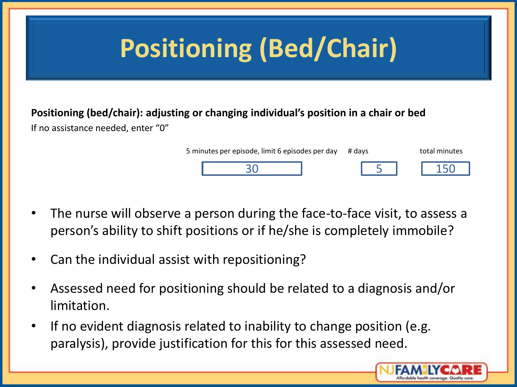# **Positioning (Bed/Chair)**

#### **Positioning (bed/chair): adjusting or changing individual's position in a chair or bed**

If no assistance needed, enter "0"

| 5 minutes per episode, limit 6 episodes per day # days |  | total minutes |
|--------------------------------------------------------|--|---------------|
|                                                        |  |               |

- The nurse will observe a person during the face-to-face visit, to assess a person's ability to shift positions or if he/she is completely immobile?
- Can the individual assist with repositioning?
- Assessed need for positioning should be related to a diagnosis and/or limitation.
- If no evident diagnosis related to inability to change position (e.g. paralysis), provide justification for this for this assessed need.

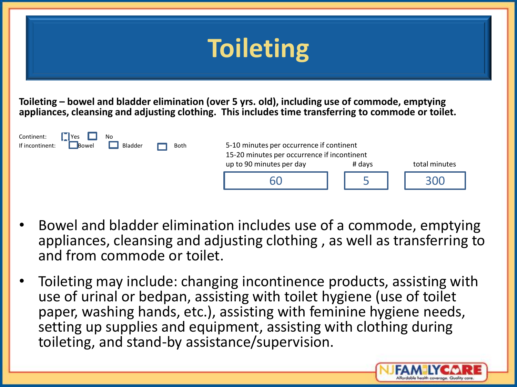| <b>Toileting</b>                                                                                                                                                                                       |                                                                                                                     |        |               |  |
|--------------------------------------------------------------------------------------------------------------------------------------------------------------------------------------------------------|---------------------------------------------------------------------------------------------------------------------|--------|---------------|--|
| Toileting – bowel and bladder elimination (over 5 yrs. old), including use of commode, emptying<br>appliances, cleansing and adjusting clothing. This includes time transferring to commode or toilet. |                                                                                                                     |        |               |  |
| Continent:<br>No<br>$\ $ Yes<br>Bladder<br>If incontinent:<br><b>Bowel</b><br>Both                                                                                                                     | 5-10 minutes per occurrence if continent<br>15-20 minutes per occurrence if incontinent<br>up to 90 minutes per day | # days | total minutes |  |
|                                                                                                                                                                                                        | 60                                                                                                                  |        | 300           |  |

- Bowel and bladder elimination includes use of a commode, emptying appliances, cleansing and adjusting clothing , as well as transferring to and from commode or toilet.
- Toileting may include: changing incontinence products, assisting with use of urinal or bedpan, assisting with toilet hygiene (use of toilet paper, washing hands, etc.), assisting with feminine hygiene needs, setting up supplies and equipment, assisting with clothing during toileting, and stand-by assistance/supervision.

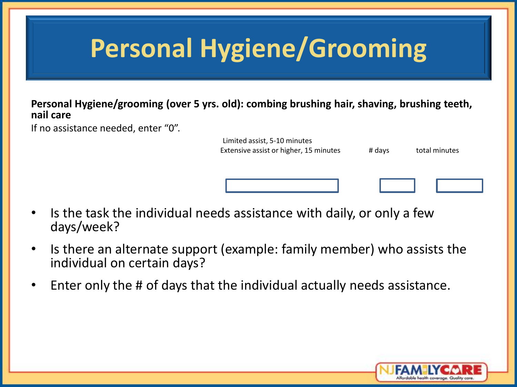### **Personal Hygiene/Grooming**

**Personal Hygiene/grooming (over 5 yrs. old): combing brushing hair, shaving, brushing teeth, nail care**

If no assistance needed, enter "0".

| Limited assist, 5-10 minutes<br>Extensive assist or higher, 15 minutes | # days | total minutes |
|------------------------------------------------------------------------|--------|---------------|
|                                                                        |        |               |

- Is the task the individual needs assistance with daily, or only a few days/week?
- Is there an alternate support (example: family member) who assists the individual on certain days?
- Enter only the # of days that the individual actually needs assistance.

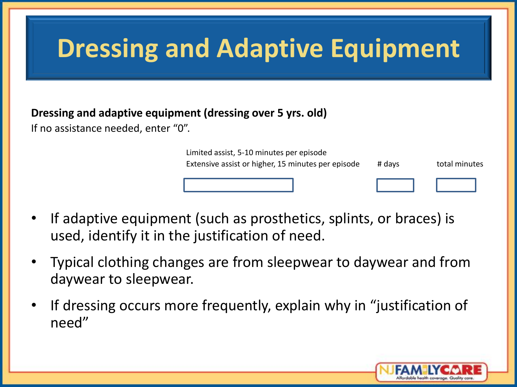### **Dressing and Adaptive Equipment**

#### **Dressing and adaptive equipment (dressing over 5 yrs. old)**

If no assistance needed, enter "0".

| Limited assist, 5-10 minutes per episode           |        |               |
|----------------------------------------------------|--------|---------------|
| Extensive assist or higher, 15 minutes per episode | # days | total minutes |
|                                                    |        |               |

- If adaptive equipment (such as prosthetics, splints, or braces) is used, identify it in the justification of need.
- Typical clothing changes are from sleepwear to daywear and from daywear to sleepwear.
- If dressing occurs more frequently, explain why in "justification of need"

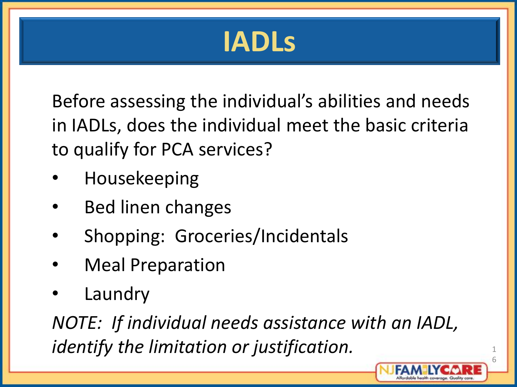# **IADLs**

Before assessing the individual's abilities and needs in IADLs, does the individual meet the basic criteria to qualify for PCA services?

- Housekeeping
- Bed linen changes
- Shopping: Groceries/Incidentals
- **Meal Preparation**
- **Laundry**

*NOTE: If individual needs assistance with an IADL, identify the limitation or justification.*

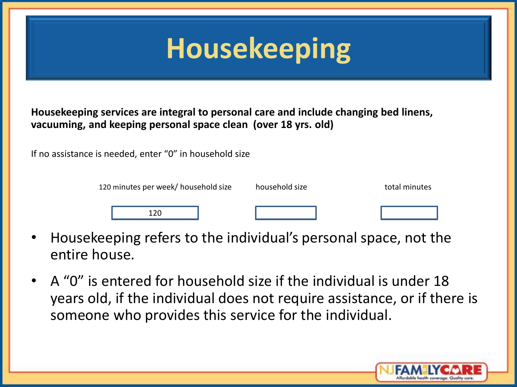# **Housekeeping**

**Housekeeping services are integral to personal care and include changing bed linens, vacuuming, and keeping personal space clean (over 18 yrs. old)**

If no assistance is needed, enter "0" in household size

| 120 minutes per week/ household size | household size | total minutes |
|--------------------------------------|----------------|---------------|
| חר                                   |                |               |

- Housekeeping refers to the individual's personal space, not the entire house.
- A "0" is entered for household size if the individual is under 18 years old, if the individual does not require assistance, or if there is someone who provides this service for the individual.

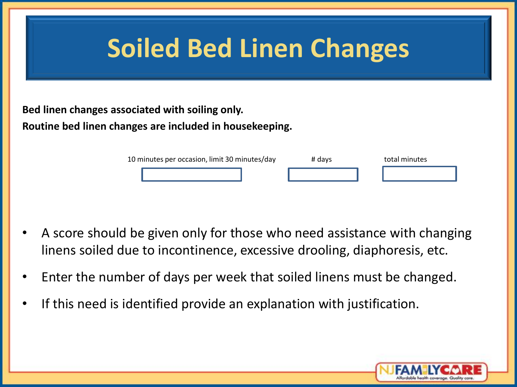| <b>Soiled Bed Linen Changes</b> |                                                                                                            |        |               |
|---------------------------------|------------------------------------------------------------------------------------------------------------|--------|---------------|
|                                 | Bed linen changes associated with soiling only.<br>Routine bed linen changes are included in housekeeping. |        |               |
|                                 | 10 minutes per occasion, limit 30 minutes/day                                                              | # days | total minutes |

- A score should be given only for those who need assistance with changing linens soiled due to incontinence, excessive drooling, diaphoresis, etc.
- Enter the number of days per week that soiled linens must be changed.
- If this need is identified provide an explanation with justification.

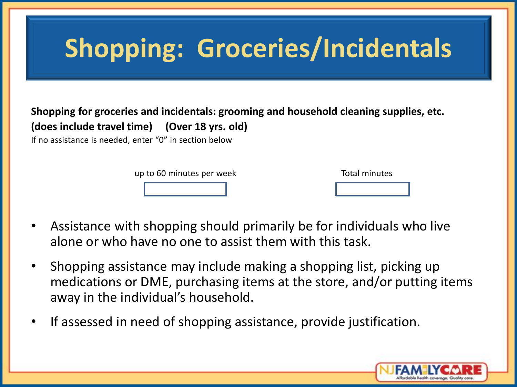## **Shopping: Groceries/Incidentals**

#### **Shopping for groceries and incidentals: grooming and household cleaning supplies, etc. (does include travel time) (Over 18 yrs. old)**

If no assistance is needed, enter "0" in section below

up to 60 minutes per week Total minutes

- Assistance with shopping should primarily be for individuals who live alone or who have no one to assist them with this task.
- Shopping assistance may include making a shopping list, picking up medications or DME, purchasing items at the store, and/or putting items away in the individual's household.
- If assessed in need of shopping assistance, provide justification.

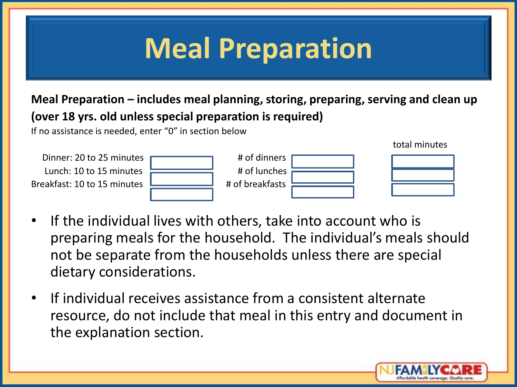# **Meal Preparation**

#### **Meal Preparation – includes meal planning, storing, preparing, serving and clean up (over 18 yrs. old unless special preparation is required)**

If no assistance is needed, enter "0" in section below



- If the individual lives with others, take into account who is preparing meals for the household. The individual's meals should not be separate from the households unless there are special dietary considerations.
- If individual receives assistance from a consistent alternate resource, do not include that meal in this entry and document in the explanation section.



total minutes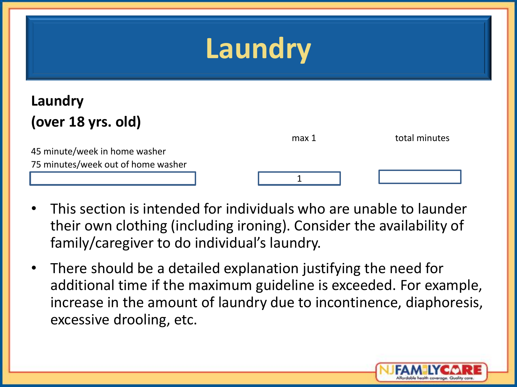### **Laundry**

#### **Laundry (over 18 yrs. old)**

|                                    | max 1 | total minutes |
|------------------------------------|-------|---------------|
| 45 minute/week in home washer      |       |               |
| 75 minutes/week out of home washer |       |               |
|                                    |       |               |

- This section is intended for individuals who are unable to launder their own clothing (including ironing). Consider the availability of family/caregiver to do individual's laundry.
- There should be a detailed explanation justifying the need for additional time if the maximum guideline is exceeded. For example, increase in the amount of laundry due to incontinence, diaphoresis, excessive drooling, etc.

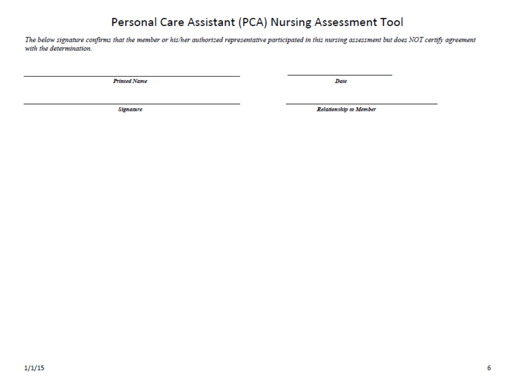#### **Fersonal Care Assistant (PCA) Nursing Assessment Tool**<br>The below signature confirms that the member or his/her authorized representative participated in this nursing assessment but does NOT certify agreement

with the determination.

**Printed Name** 

Date

er state in the state of the state of the state of the state of the state of the state of the state of the state of the state of the state of the state of the state of the state of the state of the state of the state of th

Relationship to Member